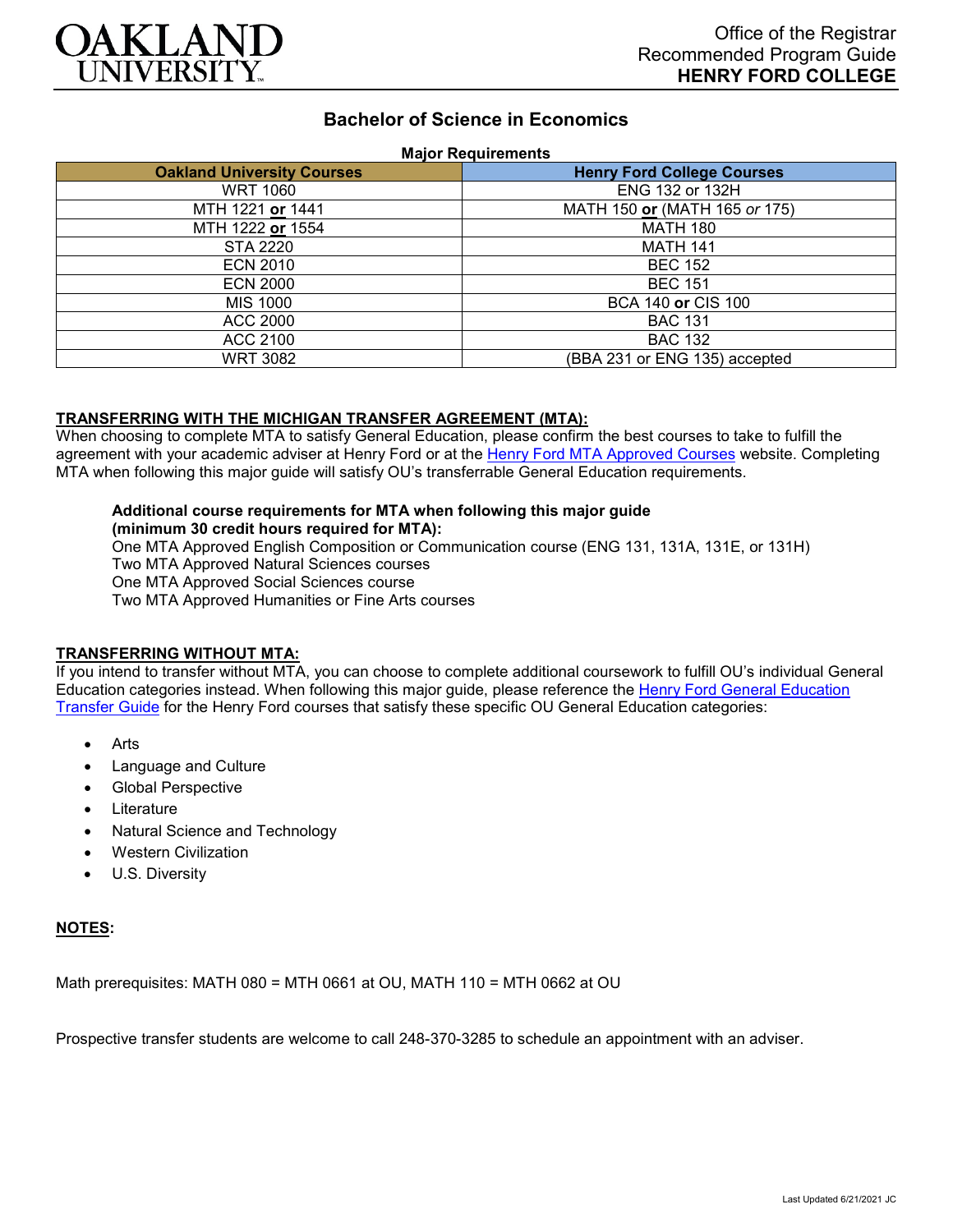

# **Bachelor of Science in Economics**

#### **Major Requirements**

| <b>Oakland University Courses</b> | <b>Henry Ford College Courses</b> |
|-----------------------------------|-----------------------------------|
| <b>WRT 1060</b>                   | <b>ENG 132 or 132H</b>            |
| MTH 1221 or 1441                  | MATH 150 or (MATH 165 or 175)     |
| MTH 1222 or 1554                  | <b>MATH 180</b>                   |
| STA 2220                          | <b>MATH 141</b>                   |
| <b>ECN 2010</b>                   | <b>BEC 152</b>                    |
| <b>ECN 2000</b>                   | <b>BEC 151</b>                    |
| MIS 1000                          | BCA 140 or CIS 100                |
| ACC 2000                          | <b>BAC 131</b>                    |
| ACC 2100                          | <b>BAC 132</b>                    |
| <b>WRT 3082</b>                   | (BBA 231 or ENG 135) accepted     |

## **TRANSFERRING WITH THE MICHIGAN TRANSFER AGREEMENT (MTA):**

When choosing to complete MTA to satisfy General Education, please confirm the best courses to take to fulfill the agreement with your academic adviser at Henry Ford or at the [Henry Ford MTA Approved Courses](https://www.hfcc.edu/registration-and-records/mta/hfc-agreement) website. Completing MTA when following this major guide will satisfy OU's transferrable General Education requirements.

## **Additional course requirements for MTA when following this major guide**

**(minimum 30 credit hours required for MTA):**

One MTA Approved English Composition or Communication course (ENG 131, 131A, 131E, or 131H) Two MTA Approved Natural Sciences courses One MTA Approved Social Sciences course Two MTA Approved Humanities or Fine Arts courses

### **TRANSFERRING WITHOUT MTA:**

If you intend to transfer without MTA, you can choose to complete additional coursework to fulfill OU's individual General Education categories instead. When following this major guide, please reference the [Henry Ford General Education](https://www.oakland.edu/Assets/Oakland/program-guides/henry-ford-college/university-general-education-requirements/Henry%20Ford%20Gen%20Ed.pdf)  [Transfer Guide](https://www.oakland.edu/Assets/Oakland/program-guides/henry-ford-college/university-general-education-requirements/Henry%20Ford%20Gen%20Ed.pdf) for the Henry Ford courses that satisfy these specific OU General Education categories:

- **Arts**
- Language and Culture
- Global Perspective
- **Literature**
- Natural Science and Technology
- Western Civilization
- U.S. Diversity

#### **NOTES:**

Math prerequisites: MATH 080 = MTH 0661 at OU, MATH 110 = MTH 0662 at OU

Prospective transfer students are welcome to call 248-370-3285 to schedule an appointment with an adviser.